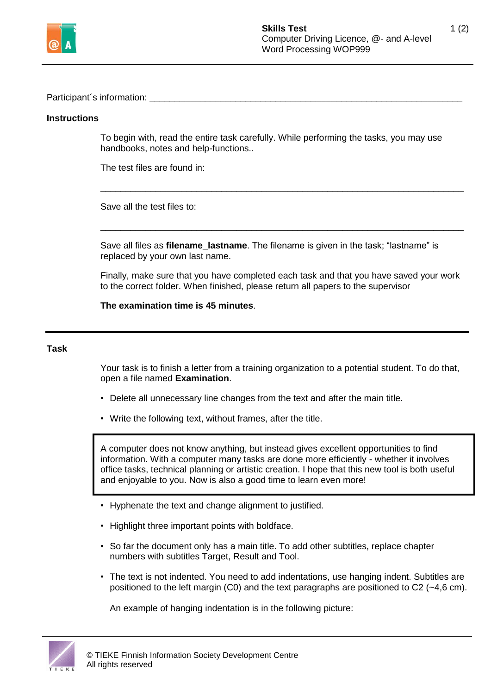

Participant's information:

## **Instructions**

To begin with, read the entire task carefully. While performing the tasks, you may use handbooks, notes and help-functions..

\_\_\_\_\_\_\_\_\_\_\_\_\_\_\_\_\_\_\_\_\_\_\_\_\_\_\_\_\_\_\_\_\_\_\_\_\_\_\_\_\_\_\_\_\_\_\_\_\_\_\_\_\_\_\_\_\_\_\_\_\_\_\_\_\_\_\_\_\_\_\_\_

\_\_\_\_\_\_\_\_\_\_\_\_\_\_\_\_\_\_\_\_\_\_\_\_\_\_\_\_\_\_\_\_\_\_\_\_\_\_\_\_\_\_\_\_\_\_\_\_\_\_\_\_\_\_\_\_\_\_\_\_\_\_\_\_\_\_\_\_\_\_\_\_

The test files are found in:

Save all the test files to:

Save all files as **filename\_lastname**. The filename is given in the task; "lastname" is replaced by your own last name.

Finally, make sure that you have completed each task and that you have saved your work to the correct folder. When finished, please return all papers to the supervisor

**The examination time is 45 minutes**.

## **Task**

Your task is to finish a letter from a training organization to a potential student. To do that, open a file named **Examination**.

- Delete all unnecessary line changes from the text and after the main title.
- Write the following text, without frames, after the title.

A computer does not know anything, but instead gives excellent opportunities to find information. With a computer many tasks are done more efficiently - whether it involves office tasks, technical planning or artistic creation. I hope that this new tool is both useful and enjoyable to you. Now is also a good time to learn even more!

- Hyphenate the text and change alignment to justified.
- Highlight three important points with boldface.
- So far the document only has a main title. To add other subtitles, replace chapter numbers with subtitles Target, Result and Tool.
- The text is not indented. You need to add indentations, use hanging indent. Subtitles are positioned to the left margin (C0) and the text paragraphs are positioned to C2  $(-4,6 \text{ cm})$ .

An example of hanging indentation is in the following picture: